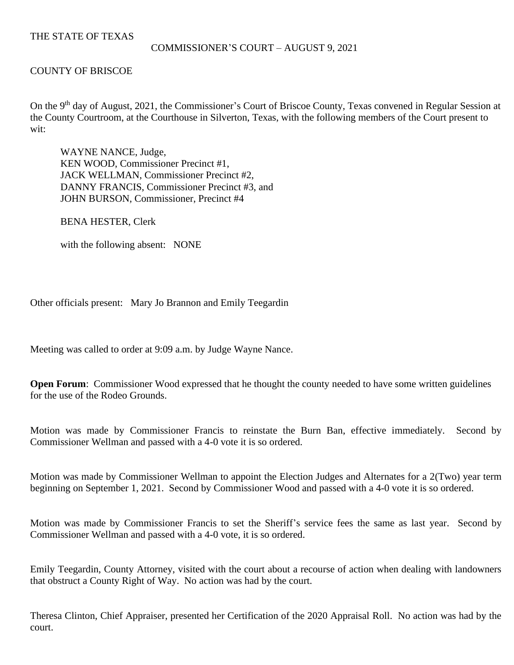# THE STATE OF TEXAS

#### COMMISSIONER'S COURT – AUGUST 9, 2021

# COUNTY OF BRISCOE

On the 9<sup>th</sup> day of August, 2021, the Commissioner's Court of Briscoe County, Texas convened in Regular Session at the County Courtroom, at the Courthouse in Silverton, Texas, with the following members of the Court present to wit:

WAYNE NANCE, Judge, KEN WOOD, Commissioner Precinct #1, JACK WELLMAN, Commissioner Precinct #2, DANNY FRANCIS, Commissioner Precinct #3, and JOHN BURSON, Commissioner, Precinct #4

BENA HESTER, Clerk

with the following absent: NONE

Other officials present: Mary Jo Brannon and Emily Teegardin

Meeting was called to order at 9:09 a.m. by Judge Wayne Nance.

**Open Forum:** Commissioner Wood expressed that he thought the county needed to have some written guidelines for the use of the Rodeo Grounds.

Motion was made by Commissioner Francis to reinstate the Burn Ban, effective immediately. Second by Commissioner Wellman and passed with a 4-0 vote it is so ordered.

Motion was made by Commissioner Wellman to appoint the Election Judges and Alternates for a 2(Two) year term beginning on September 1, 2021. Second by Commissioner Wood and passed with a 4-0 vote it is so ordered.

Motion was made by Commissioner Francis to set the Sheriff's service fees the same as last year. Second by Commissioner Wellman and passed with a 4-0 vote, it is so ordered.

Emily Teegardin, County Attorney, visited with the court about a recourse of action when dealing with landowners that obstruct a County Right of Way. No action was had by the court.

Theresa Clinton, Chief Appraiser, presented her Certification of the 2020 Appraisal Roll. No action was had by the court.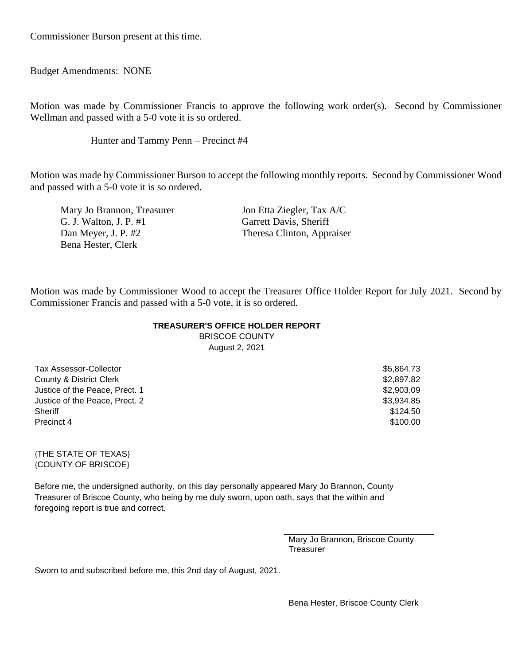Commissioner Burson present at this time.

Budget Amendments: NONE

Motion was made by Commissioner Francis to approve the following work order(s). Second by Commissioner Wellman and passed with a 5-0 vote it is so ordered.

Hunter and Tammy Penn – Precinct #4

Motion was made by Commissioner Burson to accept the following monthly reports. Second by Commissioner Wood and passed with a 5-0 vote it is so ordered.

Mary Jo Brannon, Treasurer Jon Etta Ziegler, Tax A/C G. J. Walton, J. P. #1 Garrett Davis, Sheriff Dan Meyer, J. P. #2 Theresa Clinton, Appraiser Bena Hester, Clerk

Motion was made by Commissioner Wood to accept the Treasurer Office Holder Report for July 2021. Second by Commissioner Francis and passed with a 5-0 vote, it is so ordered.

#### **TREASURER'S OFFICE HOLDER REPORT**

BRISCOE COUNTY August 2, 2021

| <b>Tax Assessor-Collector</b>  | \$5,864.73 |
|--------------------------------|------------|
| County & District Clerk        | \$2,897.82 |
| Justice of the Peace, Prect. 1 | \$2,903.09 |
| Justice of the Peace, Prect. 2 | \$3.934.85 |
| Sheriff                        | \$124.50   |
| Precinct 4                     | \$100.00   |

{THE STATE OF TEXAS} {COUNTY OF BRISCOE}

Before me, the undersigned authority, on this day personally appeared Mary Jo Brannon, County Treasurer of Briscoe County, who being by me duly sworn, upon oath, says that the within and foregoing report is true and correct.

> Mary Jo Brannon, Briscoe County **Treasurer**

Sworn to and subscribed before me, this 2nd day of August, 2021.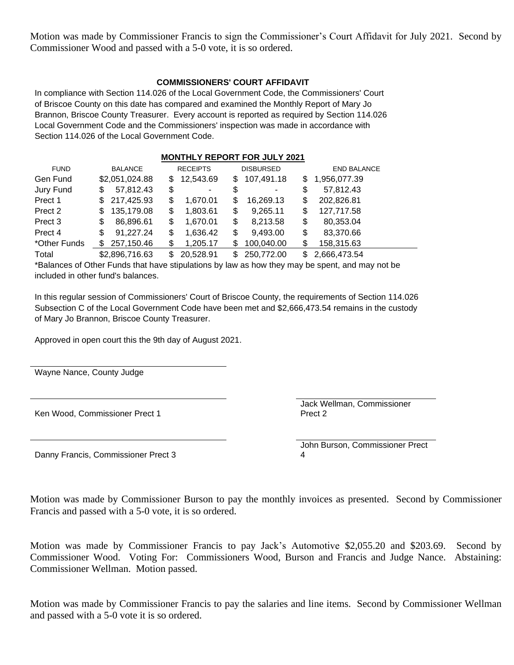Motion was made by Commissioner Francis to sign the Commissioner's Court Affidavit for July 2021. Second by Commissioner Wood and passed with a 5-0 vote, it is so ordered.

### **COMMISSIONERS' COURT AFFIDAVIT**

In compliance with Section 114.026 of the Local Government Code, the Commissioners' Court of Briscoe County on this date has compared and examined the Monthly Report of Mary Jo Brannon, Briscoe County Treasurer. Every account is reported as required by Section 114.026 Local Government Code and the Commissioners' inspection was made in accordance with Section 114.026 of the Local Government Code.

| <b>MONTHLY REPORT FOR JULY 2021</b> |                |                  |                   |                     |  |
|-------------------------------------|----------------|------------------|-------------------|---------------------|--|
| <b>FUND</b>                         | <b>BALANCE</b> | <b>RECEIPTS</b>  | <b>DISBURSED</b>  | <b>END BALANCE</b>  |  |
| Gen Fund                            | \$2,051,024.88 | 12,543.69<br>\$. | 107,491.18<br>\$  | 1,956,077.39<br>\$. |  |
| Jury Fund                           | 57,812.43      | \$               | \$                | \$                  |  |
|                                     | S              | ۰                | ۰                 | 57,812.43           |  |
| Prect 1                             | 217,425.93     | 1,670.01         | 16,269.13         | \$                  |  |
|                                     | \$.            | \$               | \$                | 202,826.81          |  |
| Prect 2                             | 135,179.08     | 1,803.61         | \$                | 127,717.58          |  |
|                                     | S              | \$               | 9,265.11          | \$                  |  |
| Prect 3                             | 86,896.61      | 1,670.01         | 8,213.58          | \$                  |  |
|                                     | \$             | \$               | \$                | 80,353.04           |  |
| Prect 4                             | 91,227.24      | 1,636.42         | 9,493.00          | 83,370.66           |  |
|                                     | \$             | \$               | \$                | \$                  |  |
| *Other Funds                        | 257,150.46     | 1,205.17         | 100,040.00        | 158,315.63          |  |
|                                     | S              | S                | S                 | \$                  |  |
| Total                               | \$2,896,716.63 | 20,528.91<br>S   | 250,772.00<br>\$. | 2,666,473.54<br>\$. |  |

\*Balances of Other Funds that have stipulations by law as how they may be spent, and may not be included in other fund's balances.

In this regular session of Commissioners' Court of Briscoe County, the requirements of Section 114.026 Subsection C of the Local Government Code have been met and \$2,666,473.54 remains in the custody of Mary Jo Brannon, Briscoe County Treasurer.

Approved in open court this the 9th day of August 2021.

Wayne Nance, County Judge

Ken Wood, Commissioner Prect 1

Jack Wellman, Commissioner Prect 2

Danny Francis, Commissioner Prect 3

John Burson, Commissioner Prect 4

Motion was made by Commissioner Burson to pay the monthly invoices as presented. Second by Commissioner Francis and passed with a 5-0 vote, it is so ordered.

Motion was made by Commissioner Francis to pay Jack's Automotive \$2,055.20 and \$203.69. Second by Commissioner Wood. Voting For: Commissioners Wood, Burson and Francis and Judge Nance. Abstaining: Commissioner Wellman. Motion passed.

Motion was made by Commissioner Francis to pay the salaries and line items. Second by Commissioner Wellman and passed with a 5-0 vote it is so ordered.